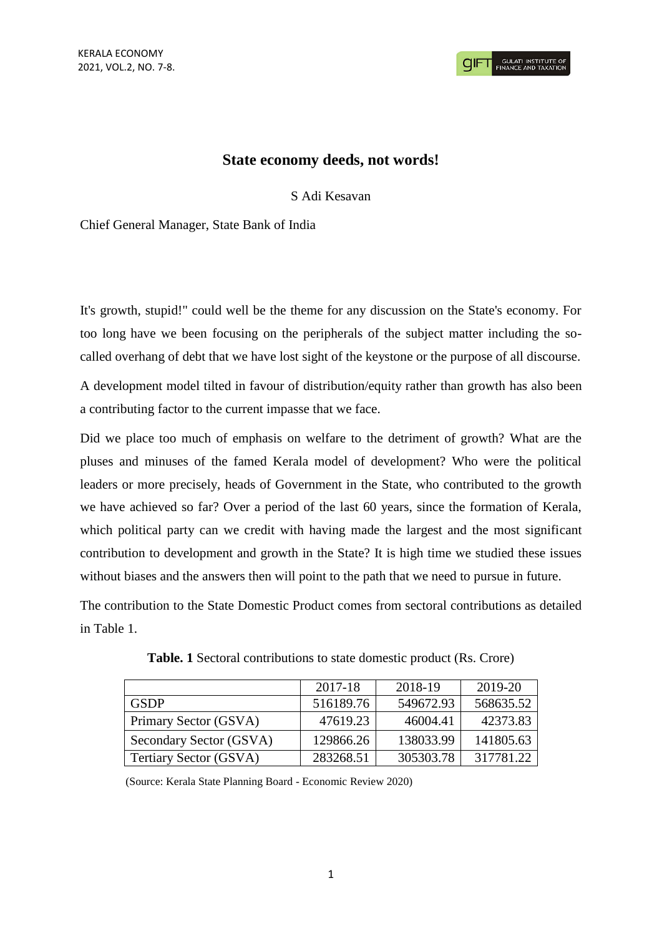## **State economy deeds, not words!**

S Adi Kesavan

Chief General Manager, State Bank of India

It's growth, stupid!" could well be the theme for any discussion on the State's economy. For too long have we been focusing on the peripherals of the subject matter including the socalled overhang of debt that we have lost sight of the keystone or the purpose of all discourse.

A development model tilted in favour of distribution/equity rather than growth has also been a contributing factor to the current impasse that we face.

Did we place too much of emphasis on welfare to the detriment of growth? What are the pluses and minuses of the famed Kerala model of development? Who were the political leaders or more precisely, heads of Government in the State, who contributed to the growth we have achieved so far? Over a period of the last 60 years, since the formation of Kerala, which political party can we credit with having made the largest and the most significant contribution to development and growth in the State? It is high time we studied these issues without biases and the answers then will point to the path that we need to pursue in future.

The contribution to the State Domestic Product comes from sectoral contributions as detailed in Table 1.

|                         | 2017-18   | 2018-19   | 2019-20   |
|-------------------------|-----------|-----------|-----------|
| <b>GSDP</b>             | 516189.76 | 549672.93 | 568635.52 |
| Primary Sector (GSVA)   | 47619.23  | 46004.41  | 42373.83  |
| Secondary Sector (GSVA) | 129866.26 | 138033.99 | 141805.63 |
| Tertiary Sector (GSVA)  | 283268.51 | 305303.78 | 317781.22 |

**Table. 1** Sectoral contributions to state domestic product (Rs. Crore)

(Source: Kerala State Planning Board - Economic Review 2020)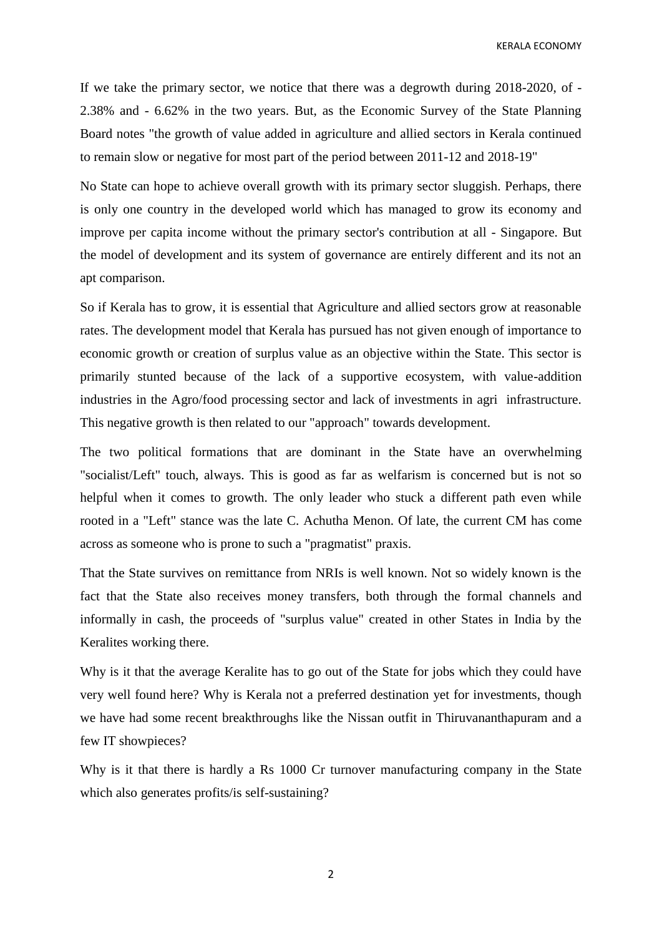KERALA ECONOMY

If we take the primary sector, we notice that there was a degrowth during 2018-2020, of - 2.38% and - 6.62% in the two years. But, as the Economic Survey of the State Planning Board notes "the growth of value added in agriculture and allied sectors in Kerala continued to remain slow or negative for most part of the period between 2011-12 and 2018-19"

No State can hope to achieve overall growth with its primary sector sluggish. Perhaps, there is only one country in the developed world which has managed to grow its economy and improve per capita income without the primary sector's contribution at all - Singapore. But the model of development and its system of governance are entirely different and its not an apt comparison.

So if Kerala has to grow, it is essential that Agriculture and allied sectors grow at reasonable rates. The development model that Kerala has pursued has not given enough of importance to economic growth or creation of surplus value as an objective within the State. This sector is primarily stunted because of the lack of a supportive ecosystem, with value-addition industries in the Agro/food processing sector and lack of investments in agri infrastructure. This negative growth is then related to our "approach" towards development.

The two political formations that are dominant in the State have an overwhelming "socialist/Left" touch, always. This is good as far as welfarism is concerned but is not so helpful when it comes to growth. The only leader who stuck a different path even while rooted in a "Left" stance was the late C. Achutha Menon. Of late, the current CM has come across as someone who is prone to such a "pragmatist" praxis.

That the State survives on remittance from NRIs is well known. Not so widely known is the fact that the State also receives money transfers, both through the formal channels and informally in cash, the proceeds of "surplus value" created in other States in India by the Keralites working there.

Why is it that the average Keralite has to go out of the State for jobs which they could have very well found here? Why is Kerala not a preferred destination yet for investments, though we have had some recent breakthroughs like the Nissan outfit in Thiruvananthapuram and a few IT showpieces?

Why is it that there is hardly a Rs 1000 Cr turnover manufacturing company in the State which also generates profits/is self-sustaining?

2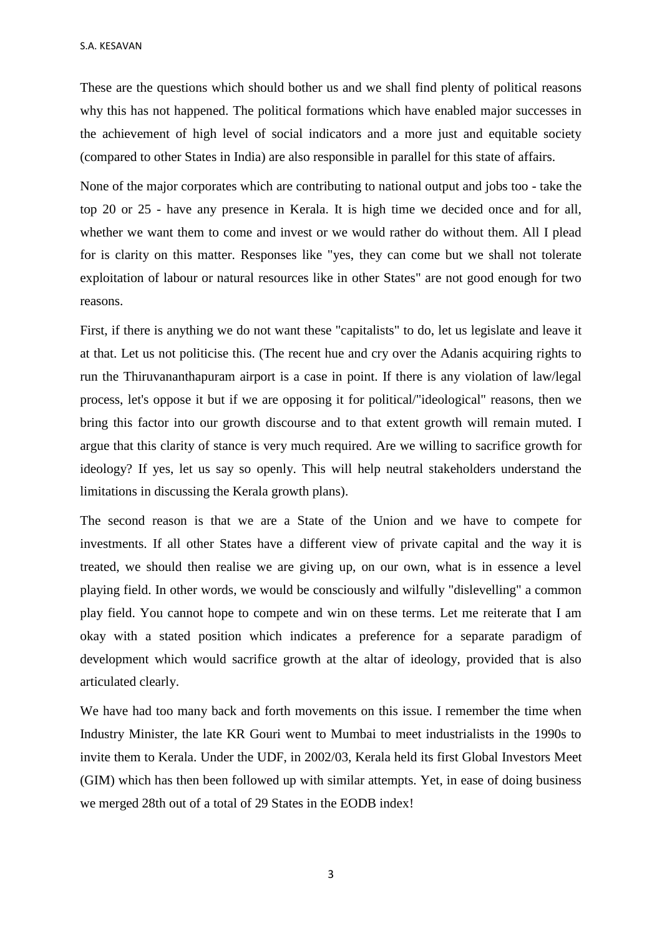S.A. KESAVAN

These are the questions which should bother us and we shall find plenty of political reasons why this has not happened. The political formations which have enabled major successes in the achievement of high level of social indicators and a more just and equitable society (compared to other States in India) are also responsible in parallel for this state of affairs.

None of the major corporates which are contributing to national output and jobs too - take the top 20 or 25 - have any presence in Kerala. It is high time we decided once and for all, whether we want them to come and invest or we would rather do without them. All I plead for is clarity on this matter. Responses like "yes, they can come but we shall not tolerate exploitation of labour or natural resources like in other States" are not good enough for two reasons.

First, if there is anything we do not want these "capitalists" to do, let us legislate and leave it at that. Let us not politicise this. (The recent hue and cry over the Adanis acquiring rights to run the Thiruvananthapuram airport is a case in point. If there is any violation of law/legal process, let's oppose it but if we are opposing it for political/"ideological" reasons, then we bring this factor into our growth discourse and to that extent growth will remain muted. I argue that this clarity of stance is very much required. Are we willing to sacrifice growth for ideology? If yes, let us say so openly. This will help neutral stakeholders understand the limitations in discussing the Kerala growth plans).

The second reason is that we are a State of the Union and we have to compete for investments. If all other States have a different view of private capital and the way it is treated, we should then realise we are giving up, on our own, what is in essence a level playing field. In other words, we would be consciously and wilfully "dislevelling" a common play field. You cannot hope to compete and win on these terms. Let me reiterate that I am okay with a stated position which indicates a preference for a separate paradigm of development which would sacrifice growth at the altar of ideology, provided that is also articulated clearly.

We have had too many back and forth movements on this issue. I remember the time when Industry Minister, the late KR Gouri went to Mumbai to meet industrialists in the 1990s to invite them to Kerala. Under the UDF, in 2002/03, Kerala held its first Global Investors Meet (GIM) which has then been followed up with similar attempts. Yet, in ease of doing business we merged 28th out of a total of 29 States in the EODB index!

3